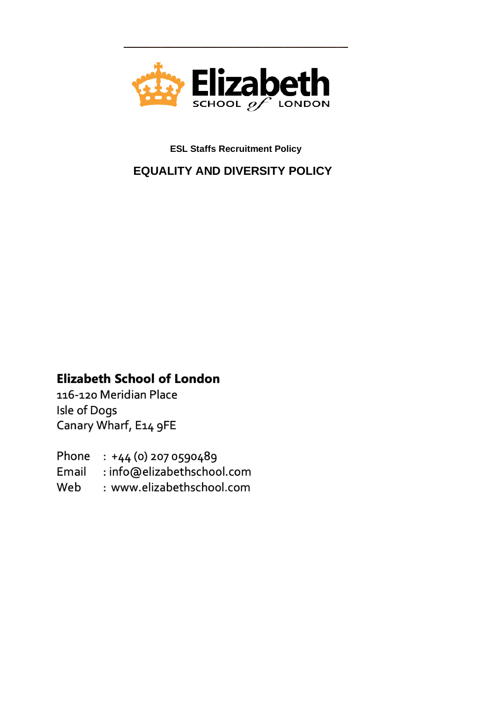

**ESL Staffs Recruitment Policy**

 **EQUALITY AND DIVERSITY POLICY**

## **Elizabeth School of London**

116-120 Meridian Place Isle of Dogs Canary Wharf, E14 9FE

Phone : +44 (0) 207 0590489 Email : info@elizabethschool.com Web : www.elizabethschool.com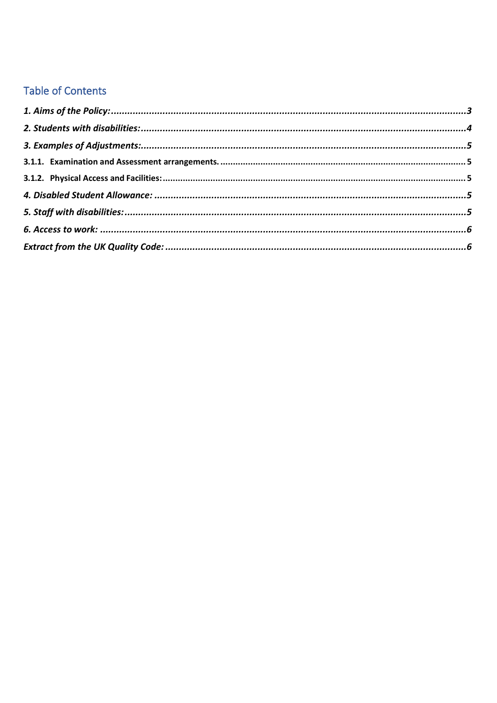# **Table of Contents**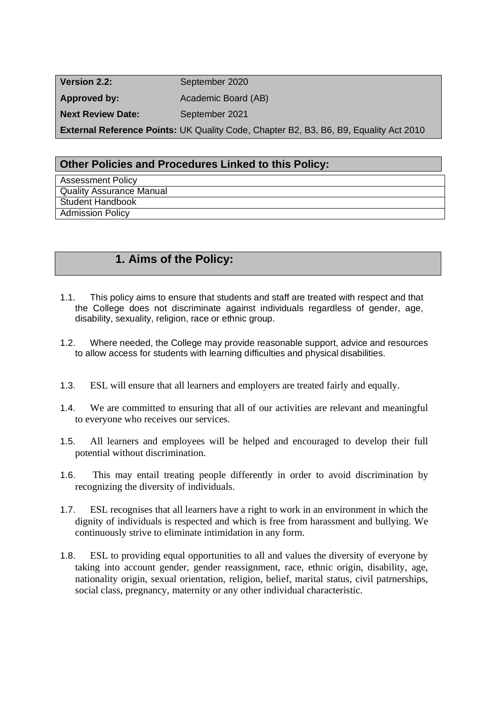| Version 2.2:             | September 2020                                                                               |
|--------------------------|----------------------------------------------------------------------------------------------|
| Approved by:             | Academic Board (AB)                                                                          |
| <b>Next Review Date:</b> | September 2021                                                                               |
|                          | <b>External Reference Points: UK Quality Code, Chapter B2, B3, B6, B9, Equality Act 2010</b> |

#### **Other Policies and Procedures Linked to this Policy:**

Assessment Policy Quality Assurance Manual Student Handbook Admission Policy

## **1. Aims of the Policy:**

- 1.1. This policy aims to ensure that students and staff are treated with respect and that the College does not discriminate against individuals regardless of gender, age, disability, sexuality, religion, race or ethnic group.
- 1.2. Where needed, the College may provide reasonable support, advice and resources to allow access for students with learning difficulties and physical disabilities.
- 1.3. ESL will ensure that all learners and employers are treated fairly and equally.
- 1.4. We are committed to ensuring that all of our activities are relevant and meaningful to everyone who receives our services.
- 1.5. All learners and employees will be helped and encouraged to develop their full potential without discrimination.
- 1.6. This may entail treating people differently in order to avoid discrimination by recognizing the diversity of individuals.
- 1.7. ESL recognises that all learners have a right to work in an environment in which the dignity of individuals is respected and which is free from harassment and bullying. We continuously strive to eliminate intimidation in any form.
- 1.8. ESL to providing equal opportunities to all and values the diversity of everyone by taking into account gender, gender reassignment, race, ethnic origin, disability, age, nationality origin, sexual orientation, religion, belief, marital status, civil patrnerships, social class, pregnancy, maternity or any other individual characteristic.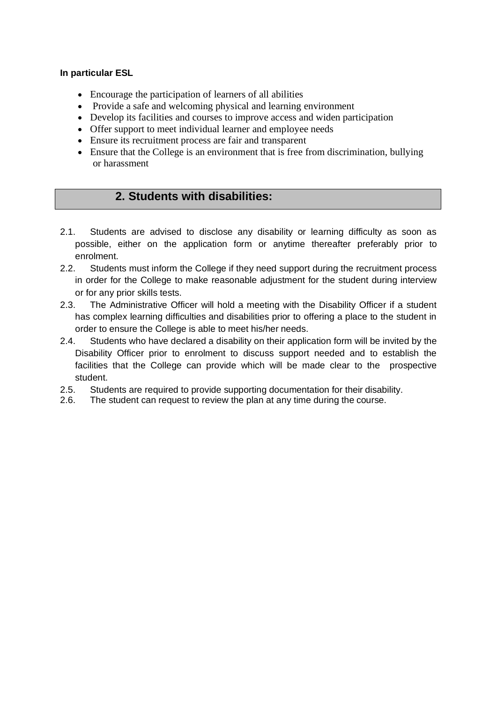#### **In particular ESL**

- Encourage the participation of learners of all abilities
- Provide a safe and welcoming physical and learning environment
- Develop its facilities and courses to improve access and widen participation
- Offer support to meet individual learner and employee needs
- Ensure its recruitment process are fair and transparent
- Ensure that the College is an environment that is free from discrimination, bullying or harassment

## **2. Students with disabilities:**

- 2.1. Students are advised to disclose any disability or learning difficulty as soon as possible, either on the application form or anytime thereafter preferably prior to enrolment.
- 2.2. Students must inform the College if they need support during the recruitment process in order for the College to make reasonable adjustment for the student during interview or for any prior skills tests.
- 2.3. The Administrative Officer will hold a meeting with the Disability Officer if a student has complex learning difficulties and disabilities prior to offering a place to the student in order to ensure the College is able to meet his/her needs.
- 2.4. Students who have declared a disability on their application form will be invited by the Disability Officer prior to enrolment to discuss support needed and to establish the facilities that the College can provide which will be made clear to the prospective student.
- 2.5. Students are required to provide supporting documentation for their disability.
- 2.6. The student can request to review the plan at any time during the course.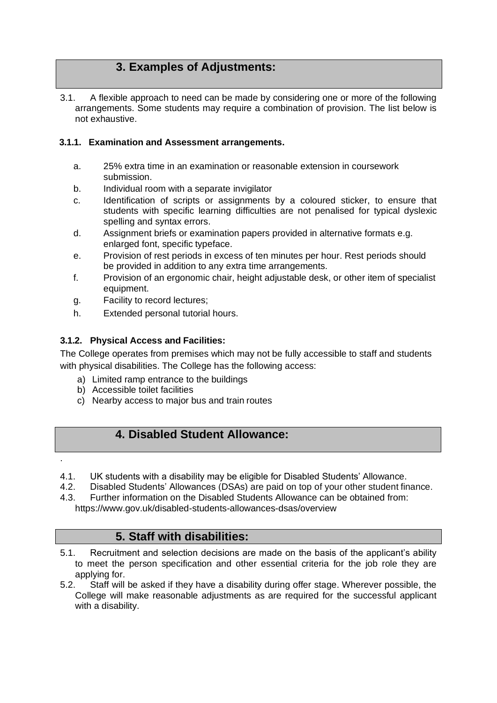## **3. Examples of Adjustments:**

3.1. A flexible approach to need can be made by considering one or more of the following arrangements. Some students may require a combination of provision. The list below is not exhaustive.

#### <span id="page-4-0"></span>**3.1.1. Examination and Assessment arrangements.**

- a. 25% extra time in an examination or reasonable extension in coursework submission.
- b. Individual room with a separate invigilator
- c. Identification of scripts or assignments by a coloured sticker, to ensure that students with specific learning difficulties are not penalised for typical dyslexic spelling and syntax errors.
- d. Assignment briefs or examination papers provided in alternative formats e.g. enlarged font, specific typeface.
- e. Provision of rest periods in excess of ten minutes per hour. Rest periods should be provided in addition to any extra time arrangements.
- f. Provision of an ergonomic chair, height adjustable desk, or other item of specialist equipment.
- g. Facility to record lectures;
- h. Extended personal tutorial hours.

#### <span id="page-4-1"></span>**3.1.2. Physical Access and Facilities:**

The College operates from premises which may not be fully accessible to staff and students with physical disabilities. The College has the following access:

- a) Limited ramp entrance to the buildings
- b) Accessible toilet facilities

.

c) Nearby access to major bus and train routes

## **4. Disabled Student Allowance:**

- 4.1. UK students with a disability may be eligible for Disabled Students' Allowance.
- 4.2. Disabled Students' Allowances (DSAs) are paid on top of your other student finance.
- 4.3. Further information on the Disabled Students Allowance can be obtained from: https:[//www.gov.uk/disabled-students-allowances-dsas/overview](http://www.gov.uk/disabled-students-allowances-dsas/overview)

### **5. Staff with disabilities:**

- 5.1. Recruitment and selection decisions are made on the basis of the applicant's ability to meet the person specification and other essential criteria for the job role they are applying for.
- 5.2. Staff will be asked if they have a disability during offer stage. Wherever possible, the College will make reasonable adjustments as are required for the successful applicant with a disability.